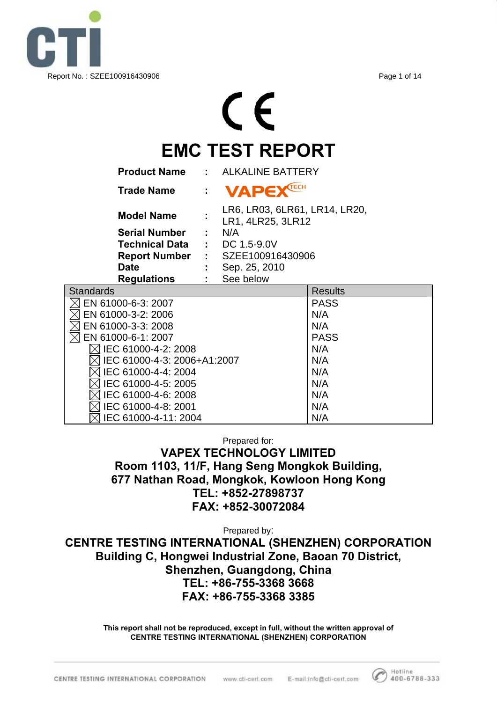

# CE **EMC TEST REPORT**

| <b>Product Name</b>           | ٠                         | <b>ALKALINE BATTERY</b>                            |                |  |  |  |  |  |
|-------------------------------|---------------------------|----------------------------------------------------|----------------|--|--|--|--|--|
| <b>Trade Name</b>             | $\mathbb{R}^{\mathbb{Z}}$ | <b>VAPE</b>                                        |                |  |  |  |  |  |
| <b>Model Name</b>             |                           | LR6, LR03, 6LR61, LR14, LR20,<br>LR1, 4LR25, 3LR12 |                |  |  |  |  |  |
| <b>Serial Number</b>          |                           | N/A                                                |                |  |  |  |  |  |
| Technical Data                |                           | DC 1.5-9.0V                                        |                |  |  |  |  |  |
| <b>Report Number</b>          |                           | : SZEE100916430906                                 |                |  |  |  |  |  |
| <b>Date</b>                   |                           | Sep. 25, 2010<br>See below                         |                |  |  |  |  |  |
| <b>Regulations</b>            |                           |                                                    |                |  |  |  |  |  |
| <b>Standards</b>              |                           |                                                    | <b>Results</b> |  |  |  |  |  |
| EN 61000-6-3: 2007            |                           |                                                    | <b>PASS</b>    |  |  |  |  |  |
| EN 61000-3-2: 2006            |                           |                                                    | N/A            |  |  |  |  |  |
| EN 61000-3-3: 2008            |                           |                                                    | N/A            |  |  |  |  |  |
| EN 61000-6-1: 2007            |                           |                                                    | <b>PASS</b>    |  |  |  |  |  |
| $\bowtie$ IEC 61000-4-2: 2008 |                           |                                                    | N/A            |  |  |  |  |  |
| IEC 61000-4-3: 2006+A1:2007   |                           |                                                    | N/A            |  |  |  |  |  |
| IEC 61000-4-4: 2004           |                           | N/A                                                |                |  |  |  |  |  |
| IEC 61000-4-5: 2005           | N/A                       |                                                    |                |  |  |  |  |  |
| IEC 61000-4-6: 2008           | N/A                       |                                                    |                |  |  |  |  |  |
| IEC 61000-4-8: 2001           |                           |                                                    | N/A            |  |  |  |  |  |
| IEC 61000-4-11: 2004          | N/A                       |                                                    |                |  |  |  |  |  |

Prepared for:

**VAPEX TECHNOLOGY LIMITED Room 1103, 11/F, Hang Seng Mongkok Building, 677 Nathan Road, Mongkok, Kowloon Hong Kong TEL: +852-27898737 FAX: +852-30072084** 

Prepared by:

**CENTRE TESTING INTERNATIONAL (SHENZHEN) CORPORATION Building C, Hongwei Industrial Zone, Baoan 70 District, Shenzhen, Guangdong, China TEL: +86-755-3368 3668 FAX: +86-755-3368 3385** 

> **This report shall not be reproduced, except in full, without the written approval of CENTRE TESTING INTERNATIONAL (SHENZHEN) CORPORATION**

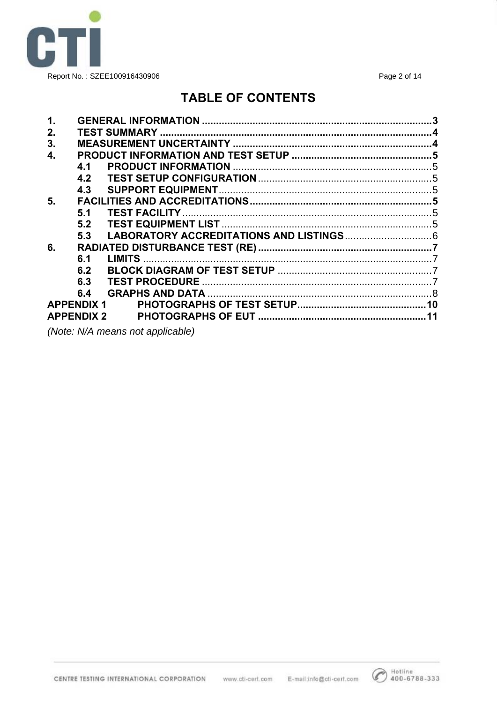

Page 2 of 14

## **TABLE OF CONTENTS**

| $\mathbf 1$ . |                   |                                                                                                                 |  |
|---------------|-------------------|-----------------------------------------------------------------------------------------------------------------|--|
| 2.            |                   |                                                                                                                 |  |
| 3.            |                   |                                                                                                                 |  |
| 4.            |                   |                                                                                                                 |  |
|               | 4.1               |                                                                                                                 |  |
|               | 4.2               |                                                                                                                 |  |
|               | 4.3               |                                                                                                                 |  |
| 5.            |                   |                                                                                                                 |  |
|               | 5.1               |                                                                                                                 |  |
|               | 5.2               |                                                                                                                 |  |
|               | 5.3               |                                                                                                                 |  |
| 6.            |                   |                                                                                                                 |  |
|               | 6.1               |                                                                                                                 |  |
|               | 6.2               |                                                                                                                 |  |
|               | 6.3               |                                                                                                                 |  |
|               | 6.4               |                                                                                                                 |  |
|               | <b>APPENDIX 1</b> |                                                                                                                 |  |
|               | <b>APPENDIX 2</b> |                                                                                                                 |  |
|               |                   | the contract of the contract of the contract of the contract of the contract of the contract of the contract of |  |

(Note: N/A means not applicable)

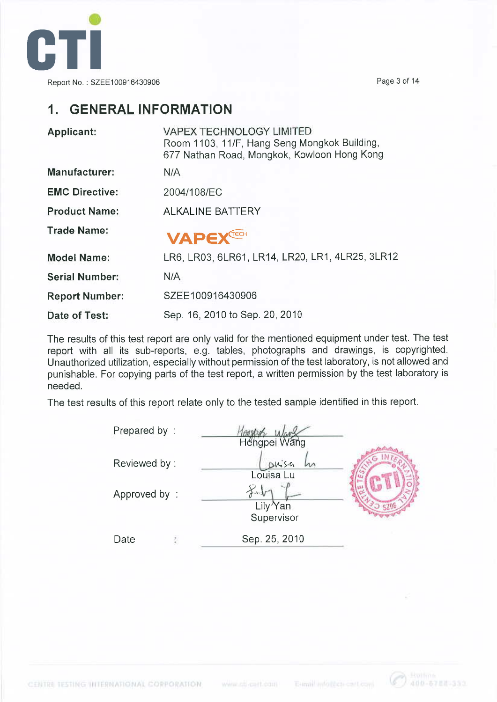

Page 3 of 14

## 1. GENERAL INFORMATION

| Applicant:            | <b>VAPEX TECHNOLOGY LIMITED</b><br>Room 1103, 11/F, Hang Seng Mongkok Building,<br>677 Nathan Road, Mongkok, Kowloon Hong Kong |
|-----------------------|--------------------------------------------------------------------------------------------------------------------------------|
| <b>Manufacturer:</b>  | N/A                                                                                                                            |
| <b>EMC Directive:</b> | 2004/108/EC                                                                                                                    |
| <b>Product Name:</b>  | <b>ALKALINE BATTERY</b>                                                                                                        |
| <b>Trade Name:</b>    | VAPEXTECH                                                                                                                      |
| <b>Model Name:</b>    | LR6, LR03, 6LR61, LR14, LR20, LR1, 4LR25, 3LR12                                                                                |
| <b>Serial Number:</b> | N/A                                                                                                                            |
| <b>Report Number:</b> | SZEE100916430906                                                                                                               |
| Date of Test:         | Sep. 16, 2010 to Sep. 20, 2010                                                                                                 |

The results of this test report are only valid for the mentioned equipment under test. The test report with all its sub-reports, e.g. tables, photographs and drawings, is copyrighted. Unauthorized utilization, especially without permission of the test laboratory, is not allowed and punishable. For copying parts of the test report, a written permission by the test laboratory is needed.

The test results of this report relate only to the tested sample identified in this report.

| Prepared by: | Hengpei Wang                          |  |
|--------------|---------------------------------------|--|
| Reviewed by: | $DK_0$ sa<br>m<br>Louisa Lu           |  |
| Approved by: | $\frac{1}{2}$<br>Lily <sup>X</sup> an |  |
| Date         | Supervisor<br>Sep. 25, 2010           |  |

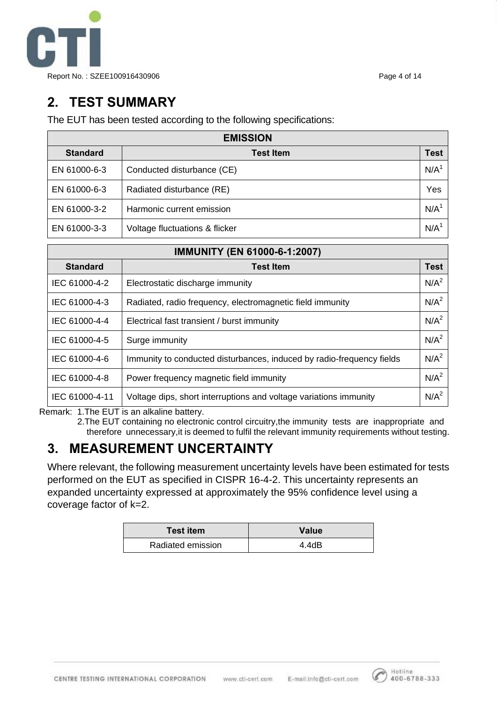

# **2. TEST SUMMARY**

The EUT has been tested according to the following specifications:

| <b>EMISSION</b> |                                |      |  |  |  |  |  |
|-----------------|--------------------------------|------|--|--|--|--|--|
| <b>Standard</b> | <b>Test Item</b>               | Test |  |  |  |  |  |
| EN 61000-6-3    | Conducted disturbance (CE)     | N/A  |  |  |  |  |  |
| EN 61000-6-3    | Radiated disturbance (RE)      | Yes  |  |  |  |  |  |
| EN 61000-3-2    | Harmonic current emission      | N/A  |  |  |  |  |  |
| EN 61000-3-3    | Voltage fluctuations & flicker | N/A  |  |  |  |  |  |

| <b>IMMUNITY (EN 61000-6-1:2007)</b> |                                                                       |                  |  |  |  |  |  |
|-------------------------------------|-----------------------------------------------------------------------|------------------|--|--|--|--|--|
| <b>Standard</b>                     | <b>Test Item</b>                                                      | <b>Test</b>      |  |  |  |  |  |
| IEC 61000-4-2                       | Electrostatic discharge immunity                                      | N/A <sup>2</sup> |  |  |  |  |  |
| IEC 61000-4-3                       | Radiated, radio frequency, electromagnetic field immunity             | N/A <sup>2</sup> |  |  |  |  |  |
| IEC 61000-4-4                       | Electrical fast transient / burst immunity                            | N/A <sup>2</sup> |  |  |  |  |  |
| IEC 61000-4-5                       | Surge immunity                                                        | N/A <sup>2</sup> |  |  |  |  |  |
| IEC 61000-4-6                       | Immunity to conducted disturbances, induced by radio-frequency fields | N/A <sup>2</sup> |  |  |  |  |  |
| IEC 61000-4-8                       | Power frequency magnetic field immunity                               | N/A <sup>2</sup> |  |  |  |  |  |
| IEC 61000-4-11                      | Voltage dips, short interruptions and voltage variations immunity     | N/A <sup>2</sup> |  |  |  |  |  |

Remark: 1.The EUT is an alkaline battery.

2.The EUT containing no electronic control circuitry,the immunity tests are inappropriate and therefore unnecessary,it is deemed to fulfil the relevant immunity requirements without testing.

# **3. MEASUREMENT UNCERTAINTY**

Where relevant, the following measurement uncertainty levels have been estimated for tests performed on the EUT as specified in CISPR 16-4-2. This uncertainty represents an expanded uncertainty expressed at approximately the 95% confidence level using a coverage factor of k=2.

| <b>Test item</b>  | Value |
|-------------------|-------|
| Radiated emission | 4.4dB |

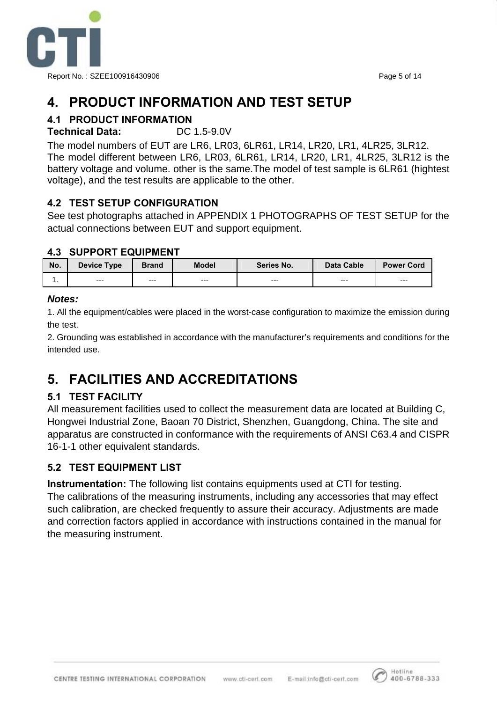

# **4. PRODUCT INFORMATION AND TEST SETUP**

## **4.1 PRODUCT INFORMATION**

#### **Technical Data:** DC 1.5-9.0V

The model numbers of EUT are LR6, LR03, 6LR61, LR14, LR20, LR1, 4LR25, 3LR12. The model different between LR6, LR03, 6LR61, LR14, LR20, LR1, 4LR25, 3LR12 is the battery voltage and volume. other is the same.The model of test sample is 6LR61 (hightest voltage), and the test results are applicable to the other.

#### **4.2 TEST SETUP CONFIGURATION**

See test photographs attached in APPENDIX 1 PHOTOGRAPHS OF TEST SETUP for the actual connections between EUT and support equipment.

#### **4.3 SUPPORT EQUIPMENT**

| No. | Device Type | <b>Brand</b> |  | Series No. | Data Cable | <b>Power Cord</b> |  |
|-----|-------------|--------------|--|------------|------------|-------------------|--|
| . . | $- - -$     | $---$        |  | $---$      | $---$      | $---$             |  |

#### *Notes:*

1. All the equipment/cables were placed in the worst-case configuration to maximize the emission during the test.

2. Grounding was established in accordance with the manufacturer's requirements and conditions for the intended use.

# **5. FACILITIES AND ACCREDITATIONS**

#### **5.1 TEST FACILITY**

All measurement facilities used to collect the measurement data are located at Building C, Hongwei Industrial Zone, Baoan 70 District, Shenzhen, Guangdong, China. The site and apparatus are constructed in conformance with the requirements of ANSI C63.4 and CISPR 16-1-1 other equivalent standards.

#### **5.2 TEST EQUIPMENT LIST**

**Instrumentation:** The following list contains equipments used at CTI for testing. The calibrations of the measuring instruments, including any accessories that may effect such calibration, are checked frequently to assure their accuracy. Adjustments are made and correction factors applied in accordance with instructions contained in the manual for the measuring instrument.

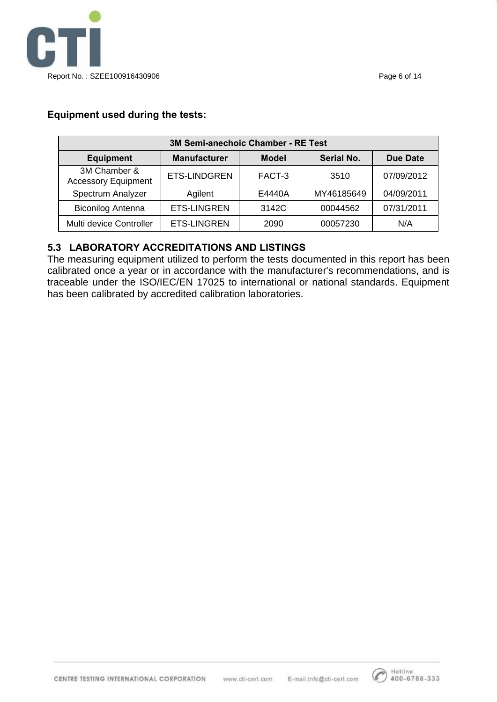

#### **Equipment used during the tests:**

| 3M Semi-anechoic Chamber - RE Test         |                     |              |            |            |  |  |  |  |  |  |  |
|--------------------------------------------|---------------------|--------------|------------|------------|--|--|--|--|--|--|--|
| <b>Equipment</b>                           | <b>Manufacturer</b> | <b>Model</b> | Serial No. | Due Date   |  |  |  |  |  |  |  |
| 3M Chamber &<br><b>Accessory Equipment</b> | ETS-LINDGREN        | FACT-3       | 3510       | 07/09/2012 |  |  |  |  |  |  |  |
| Spectrum Analyzer                          | Agilent             | E4440A       | MY46185649 | 04/09/2011 |  |  |  |  |  |  |  |
| <b>Biconilog Antenna</b>                   | <b>ETS-LINGREN</b>  | 3142C        | 00044562   | 07/31/2011 |  |  |  |  |  |  |  |
| Multi device Controller                    | <b>ETS-LINGREN</b>  | 2090         | 00057230   | N/A        |  |  |  |  |  |  |  |

#### **5.3 LABORATORY ACCREDITATIONS AND LISTINGS**

The measuring equipment utilized to perform the tests documented in this report has been calibrated once a year or in accordance with the manufacturer's recommendations, and is traceable under the ISO/IEC/EN 17025 to international or national standards. Equipment has been calibrated by accredited calibration laboratories.

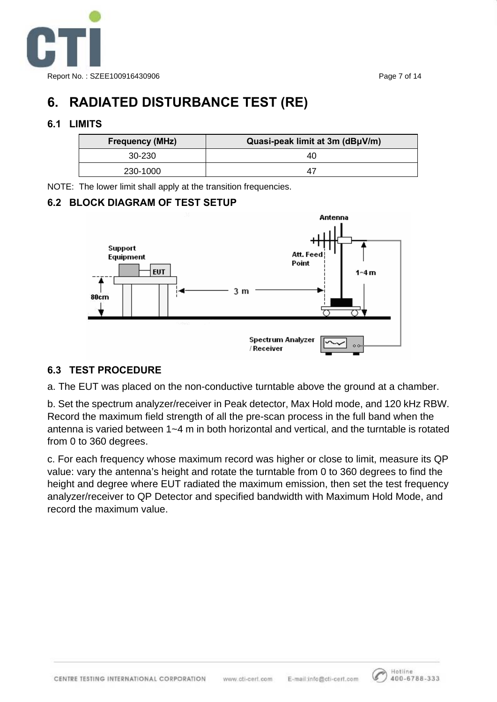

# **6. RADIATED DISTURBANCE TEST (RE)**

#### **6.1 LIMITS**

| <b>Frequency (MHz)</b> | Quasi-peak limit at 3m (dBµV/m) |
|------------------------|---------------------------------|
| 30-230                 | 40                              |
| 230-1000               | 4                               |

NOTE: The lower limit shall apply at the transition frequencies.

#### **6.2 BLOCK DIAGRAM OF TEST SETUP**



#### **6.3 TEST PROCEDURE**

a. The EUT was placed on the non-conductive turntable above the ground at a chamber.

b. Set the spectrum analyzer/receiver in Peak detector, Max Hold mode, and 120 kHz RBW. Record the maximum field strength of all the pre-scan process in the full band when the antenna is varied between 1~4 m in both horizontal and vertical, and the turntable is rotated from 0 to 360 degrees.

c. For each frequency whose maximum record was higher or close to limit, measure its QP value: vary the antenna's height and rotate the turntable from 0 to 360 degrees to find the height and degree where EUT radiated the maximum emission, then set the test frequency analyzer/receiver to QP Detector and specified bandwidth with Maximum Hold Mode, and record the maximum value.

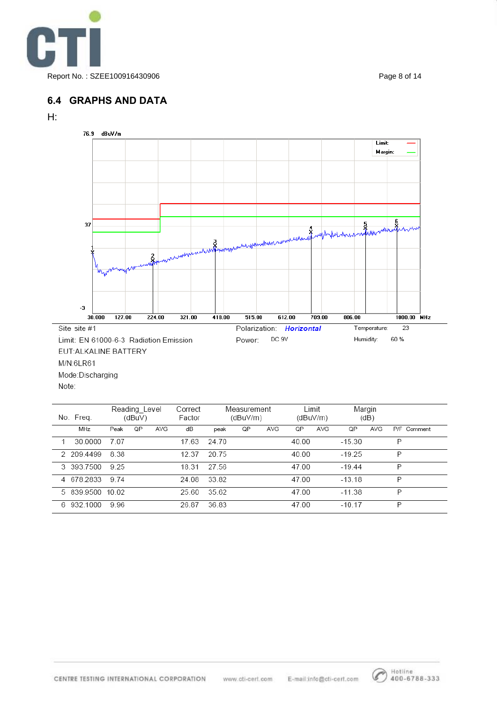

#### **6.4 GRAPHS AND DATA**





| No. Freq.        |      | Reading Level<br>(dBuV) |     | Correct<br>Factor |       | Measurement<br>(dBuV/m) |     | Limit<br>(dBuV/m) |     | Margin<br>(dB) |     |   |             |
|------------------|------|-------------------------|-----|-------------------|-------|-------------------------|-----|-------------------|-----|----------------|-----|---|-------------|
| MHz              | Peak | QP                      | AVG | dB                | peak  | QP                      | AVG | QP                | AVG | QP             | AVG |   | P/F Comment |
| 30,0000          | 707  |                         |     | 17.63             | 24.70 |                         |     | 40.00             |     | $-15.30$       |     | P |             |
| 2 209.4499       | 8.38 |                         |     | 12.37             | 20.75 |                         |     | 40.00             |     | $-19.25$       |     | P |             |
| 3 393.7500       | 9.25 |                         |     | 18.31             | 27.56 |                         |     | 47.00             |     | $-19.44$       |     | P |             |
| 4 678.2833       | 9.74 |                         |     | 24.08             | 33.82 |                         |     | 47.00             |     | $-13.18$       |     | P |             |
| 5 839 9500 10.02 |      |                         |     | 25.60             | 35.62 |                         |     | 47.00             |     | $-11.38$       |     | P |             |
| 6 932.1000       | 996  |                         |     | 26.87             | 36.83 |                         |     | 47.00             |     | $-10.17$       |     | P |             |



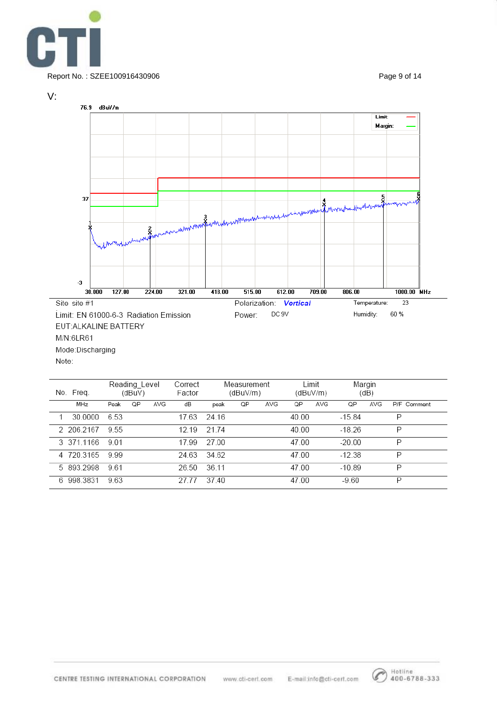



|   | No. Freq.  |      | Reading_Level<br>(dBuV) |     | Correct<br>Factor |       | Measurement<br>(dBuV/m) |     | Limit<br>(dBuV/m) |     | Margin<br>(dB) |     |   |             |
|---|------------|------|-------------------------|-----|-------------------|-------|-------------------------|-----|-------------------|-----|----------------|-----|---|-------------|
|   | MHz        | Peak | QP                      | AVG | dB                | peak  | QP                      | AVG | QP                | AVG | QP             | AVG |   | P/F Comment |
|   | 30.0000    | 6.53 |                         |     | 17.63             | 24.16 |                         |     | 40.00             |     | $-15.84$       |     | P |             |
|   | 2 206.2167 | 955  |                         |     | 12 19             | 21 74 |                         |     | 40.00             |     | $-18.26$       |     | P |             |
|   | 3 371 1166 | 9.01 |                         |     | 17.99             | 27.00 |                         |     | 47.00             |     | $-20.00$       |     | P |             |
|   | 4 720.3165 | 9.99 |                         |     | 24.63             | 34.62 |                         |     | 47.00             |     | $-12.38$       |     | P |             |
|   | 5 893 2998 | 9.61 |                         |     | 26.50             | 36.11 |                         |     | 47.00             |     | $-10.89$       |     | P |             |
| 6 | 998.3831   | 9.63 |                         |     | 27.77             | 37.40 |                         |     | 47.00             |     | $-9.60$        |     | P |             |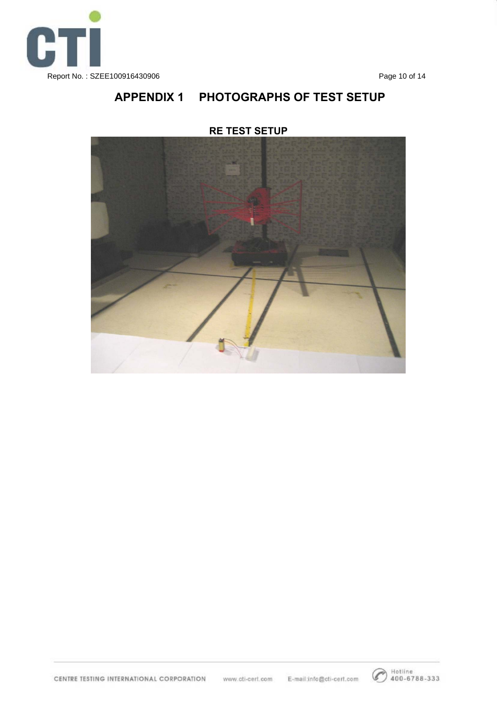

## **APPENDIX 1 PHOTOGRAPHS OF TEST SETUP**



#### **RE TEST SETUP**

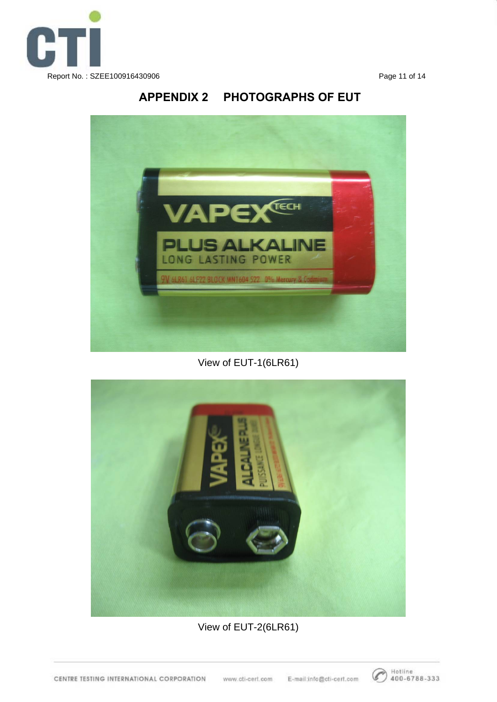

## **APPENDIX 2 PHOTOGRAPHS OF EUT**



## View of EUT-1(6LR61)



## View of EUT-2(6LR61)

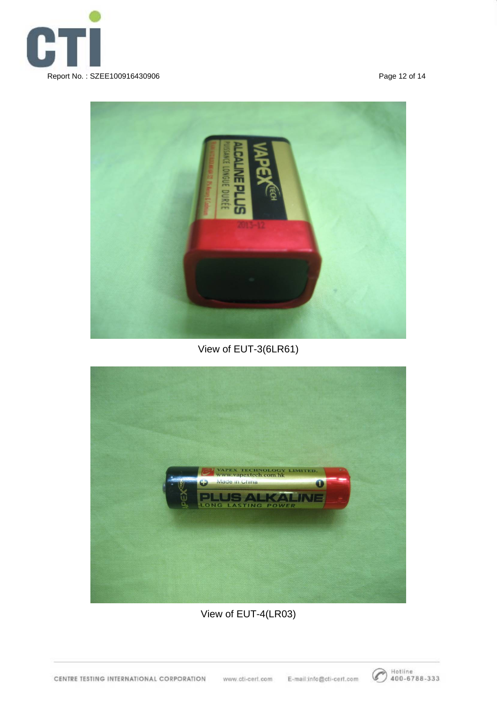



## View of EUT-3(6LR61)



View of EUT-4(LR03)

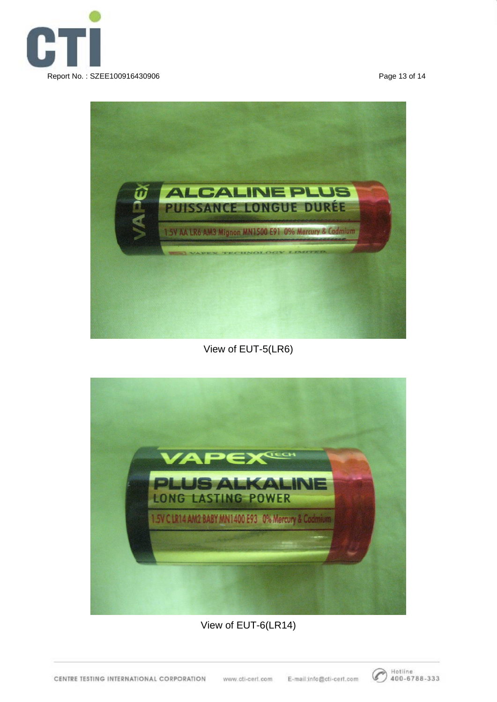



## View of EUT-5(LR6)



#### View of EUT-6(LR14)